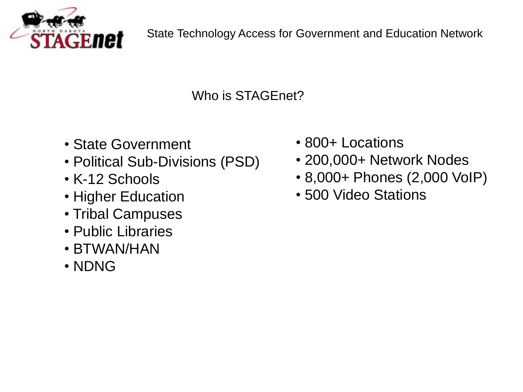

Who is STAGEnet?

- State Government
- Political Sub-Divisions (PSD)
- K-12 Schools
- Higher Education
- Tribal Campuses
- Public Libraries
- BTWAN/HAN
- NDNG
- 800+ Locations
- 200,000+ Network Nodes
- 8,000+ Phones (2,000 VoIP)
- 500 Video Stations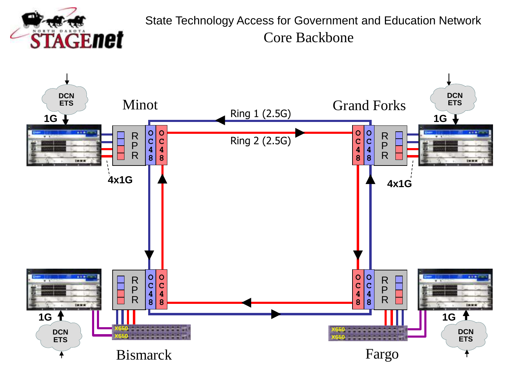

Core Backbone State Technology Access for Government and Education Network

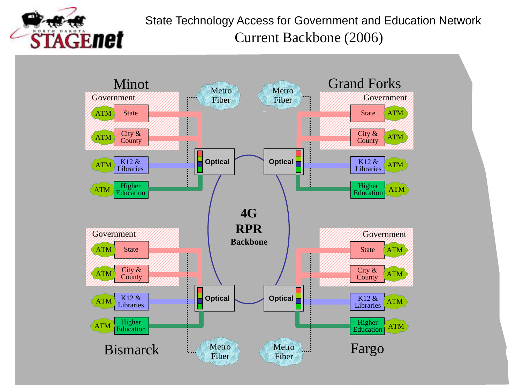

Current Backbone (2006) State Technology Access for Government and Education Network